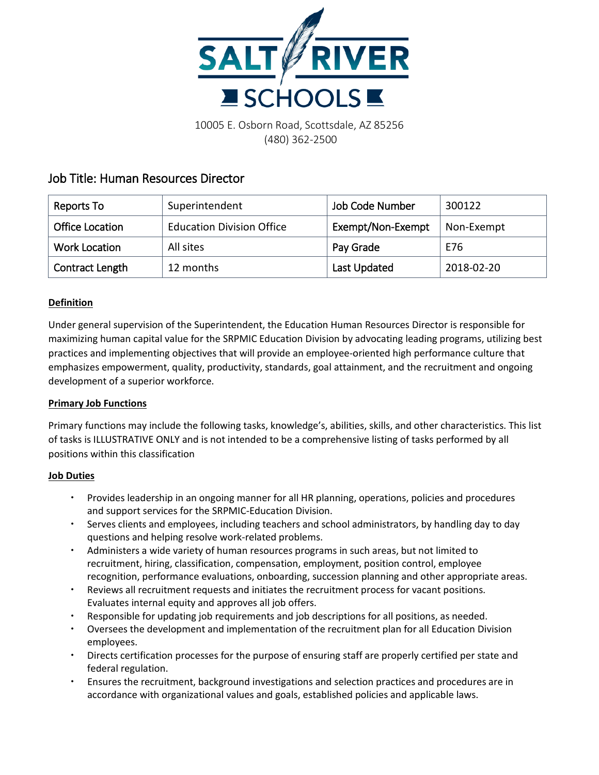

10005 E. Osborn Road, Scottsdale, AZ 85256 (480) 362-2500

# Job Title: Human Resources Director

| Reports To             | Superintendent                   | <b>Job Code Number</b> | 300122     |
|------------------------|----------------------------------|------------------------|------------|
| <b>Office Location</b> | <b>Education Division Office</b> | Exempt/Non-Exempt      | Non-Exempt |
| <b>Work Location</b>   | All sites                        | Pay Grade              | E76        |
| Contract Length        | 12 months                        | Last Updated           | 2018-02-20 |

# **Definition**

Under general supervision of the Superintendent, the Education Human Resources Director is responsible for maximizing human capital value for the SRPMIC Education Division by advocating leading programs, utilizing best practices and implementing objectives that will provide an employee-oriented high performance culture that emphasizes empowerment, quality, productivity, standards, goal attainment, and the recruitment and ongoing development of a superior workforce.

# **Primary Job Functions**

Primary functions may include the following tasks, knowledge's, abilities, skills, and other characteristics. This list of tasks is ILLUSTRATIVE ONLY and is not intended to be a comprehensive listing of tasks performed by all positions within this classification

# **Job Duties**

- Provides leadership in an ongoing manner for all HR planning, operations, policies and procedures and support services for the SRPMIC-Education Division.
- Serves clients and employees, including teachers and school administrators, by handling day to day questions and helping resolve work-related problems.
- Administers a wide variety of human resources programs in such areas, but not limited to recruitment, hiring, classification, compensation, employment, position control, employee recognition, performance evaluations, onboarding, succession planning and other appropriate areas.
- Reviews all recruitment requests and initiates the recruitment process for vacant positions. Evaluates internal equity and approves all job offers.
- Responsible for updating job requirements and job descriptions for all positions, as needed.
- Oversees the development and implementation of the recruitment plan for all Education Division employees.
- Directs certification processes for the purpose of ensuring staff are properly certified per state and federal regulation.
- Ensures the recruitment, background investigations and selection practices and procedures are in accordance with organizational values and goals, established policies and applicable laws.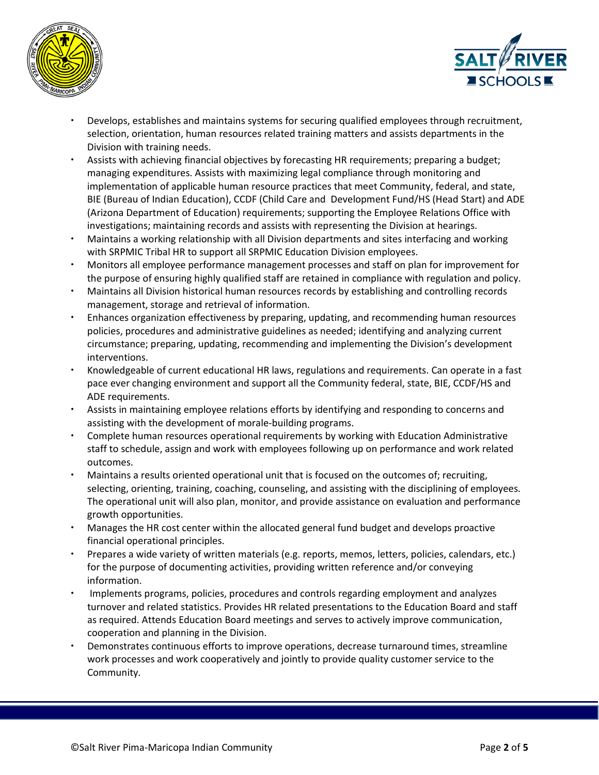



- Develops, establishes and maintains systems for securing qualified employees through recruitment, selection, orientation, human resources related training matters and assists departments in the Division with training needs.
- Assists with achieving financial objectives by forecasting HR requirements; preparing a budget; managing expenditures. Assists with maximizing legal compliance through monitoring and implementation of applicable human resource practices that meet Community, federal, and state, BIE (Bureau of Indian Education), CCDF (Child Care and Development Fund/HS (Head Start) and ADE (Arizona Department of Education) requirements; supporting the Employee Relations Office with investigations; maintaining records and assists with representing the Division at hearings.
- Maintains a working relationship with all Division departments and sites interfacing and working with SRPMIC Tribal HR to support all SRPMIC Education Division employees.
- Monitors all employee performance management processes and staff on plan for improvement for the purpose of ensuring highly qualified staff are retained in compliance with regulation and policy.
- Maintains all Division historical human resources records by establishing and controlling records management, storage and retrieval of information.
- Enhances organization effectiveness by preparing, updating, and recommending human resources policies, procedures and administrative guidelines as needed; identifying and analyzing current circumstance; preparing, updating, recommending and implementing the Division's development interventions.
- Knowledgeable of current educational HR laws, regulations and requirements. Can operate in a fast pace ever changing environment and support all the Community federal, state, BIE, CCDF/HS and ADE requirements.
- Assists in maintaining employee relations efforts by identifying and responding to concerns and assisting with the development of morale-building programs.
- Complete human resources operational requirements by working with Education Administrative staff to schedule, assign and work with employees following up on performance and work related outcomes.
- Maintains a results oriented operational unit that is focused on the outcomes of; recruiting, selecting, orienting, training, coaching, counseling, and assisting with the disciplining of employees. The operational unit will also plan, monitor, and provide assistance on evaluation and performance growth opportunities.
- Manages the HR cost center within the allocated general fund budget and develops proactive financial operational principles.
- Prepares a wide variety of written materials (e.g. reports, memos, letters, policies, calendars, etc.) for the purpose of documenting activities, providing written reference and/or conveying information.
- Implements programs, policies, procedures and controls regarding employment and analyzes turnover and related statistics. Provides HR related presentations to the Education Board and staff as required. Attends Education Board meetings and serves to actively improve communication, cooperation and planning in the Division.
- Demonstrates continuous efforts to improve operations, decrease turnaround times, streamline work processes and work cooperatively and jointly to provide quality customer service to the Community.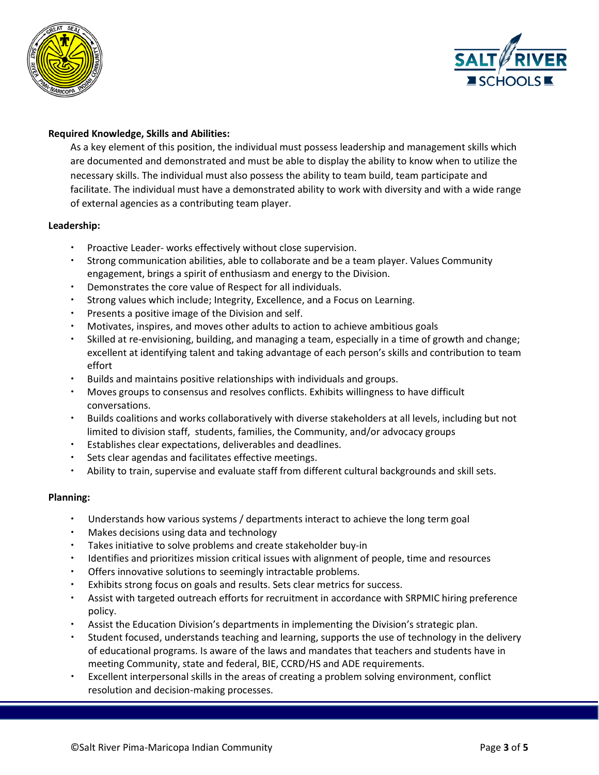



# **Required Knowledge, Skills and Abilities:**

As a key element of this position, the individual must possess leadership and management skills which are documented and demonstrated and must be able to display the ability to know when to utilize the necessary skills. The individual must also possess the ability to team build, team participate and facilitate. The individual must have a demonstrated ability to work with diversity and with a wide range of external agencies as a contributing team player.

# **Leadership:**

- Proactive Leader- works effectively without close supervision.
- Strong communication abilities, able to collaborate and be a team player. Values Community engagement, brings a spirit of enthusiasm and energy to the Division.
- Demonstrates the core value of Respect for all individuals.
- Strong values which include; Integrity, Excellence, and a Focus on Learning.
- Presents a positive image of the Division and self.
- Motivates, inspires, and moves other adults to action to achieve ambitious goals
- Skilled at re-envisioning, building, and managing a team, especially in a time of growth and change; excellent at identifying talent and taking advantage of each person's skills and contribution to team effort
- Builds and maintains positive relationships with individuals and groups.
- Moves groups to consensus and resolves conflicts. Exhibits willingness to have difficult conversations.
- Builds coalitions and works collaboratively with diverse stakeholders at all levels, including but not limited to division staff, students, families, the Community, and/or advocacy groups
- Establishes clear expectations, deliverables and deadlines.
- Sets clear agendas and facilitates effective meetings.
- Ability to train, supervise and evaluate staff from different cultural backgrounds and skill sets.

# **Planning:**

- Understands how various systems / departments interact to achieve the long term goal
- Makes decisions using data and technology
- Takes initiative to solve problems and create stakeholder buy-in
- Identifies and prioritizes mission critical issues with alignment of people, time and resources
- Offers innovative solutions to seemingly intractable problems.
- Exhibits strong focus on goals and results. Sets clear metrics for success.
- Assist with targeted outreach efforts for recruitment in accordance with SRPMIC hiring preference policy.
- Assist the Education Division's departments in implementing the Division's strategic plan.
- Student focused, understands teaching and learning, supports the use of technology in the delivery of educational programs. Is aware of the laws and mandates that teachers and students have in meeting Community, state and federal, BIE, CCRD/HS and ADE requirements.
- Excellent interpersonal skills in the areas of creating a problem solving environment, conflict resolution and decision-making processes.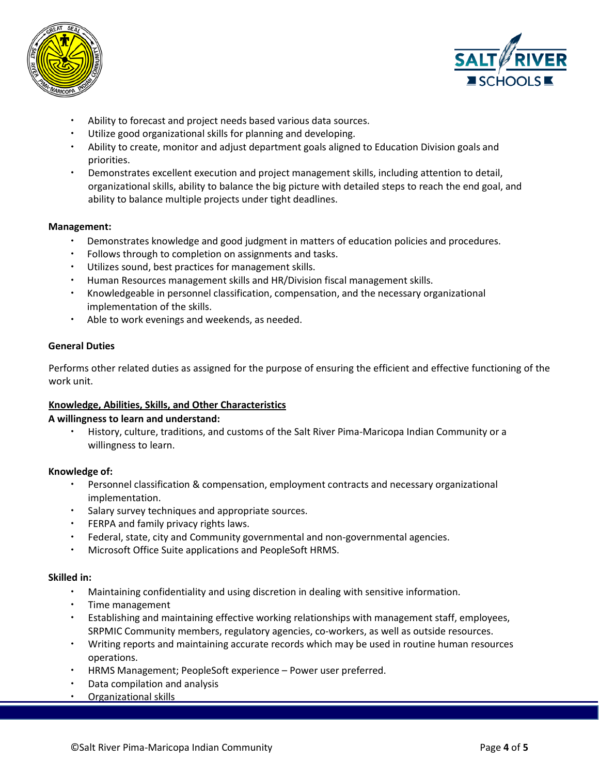



- Ability to forecast and project needs based various data sources.
- Utilize good organizational skills for planning and developing.
- Ability to create, monitor and adjust department goals aligned to Education Division goals and priorities.
- Demonstrates excellent execution and project management skills, including attention to detail, organizational skills, ability to balance the big picture with detailed steps to reach the end goal, and ability to balance multiple projects under tight deadlines.

#### **Management:**

- Demonstrates knowledge and good judgment in matters of education policies and procedures.
- Follows through to completion on assignments and tasks.
- Utilizes sound, best practices for management skills.
- Human Resources management skills and HR/Division fiscal management skills.
- Knowledgeable in personnel classification, compensation, and the necessary organizational implementation of the skills.
- Able to work evenings and weekends, as needed.

#### **General Duties**

Performs other related duties as assigned for the purpose of ensuring the efficient and effective functioning of the work unit.

#### **Knowledge, Abilities, Skills, and Other Characteristics**

#### **A willingness to learn and understand:**

 History, culture, traditions, and customs of the Salt River Pima-Maricopa Indian Community or a willingness to learn.

#### **Knowledge of:**

- Personnel classification & compensation, employment contracts and necessary organizational implementation.
- Salary survey techniques and appropriate sources.
- **•** FERPA and family privacy rights laws.
- Federal, state, city and Community governmental and non-governmental agencies.
- Microsoft Office Suite applications and PeopleSoft HRMS.

#### **Skilled in:**

- Maintaining confidentiality and using discretion in dealing with sensitive information.
- Time management
- Establishing and maintaining effective working relationships with management staff, employees, SRPMIC Community members, regulatory agencies, co-workers, as well as outside resources.
- Writing reports and maintaining accurate records which may be used in routine human resources operations.
- HRMS Management; PeopleSoft experience Power user preferred.
- Data compilation and analysis
- Organizational skills